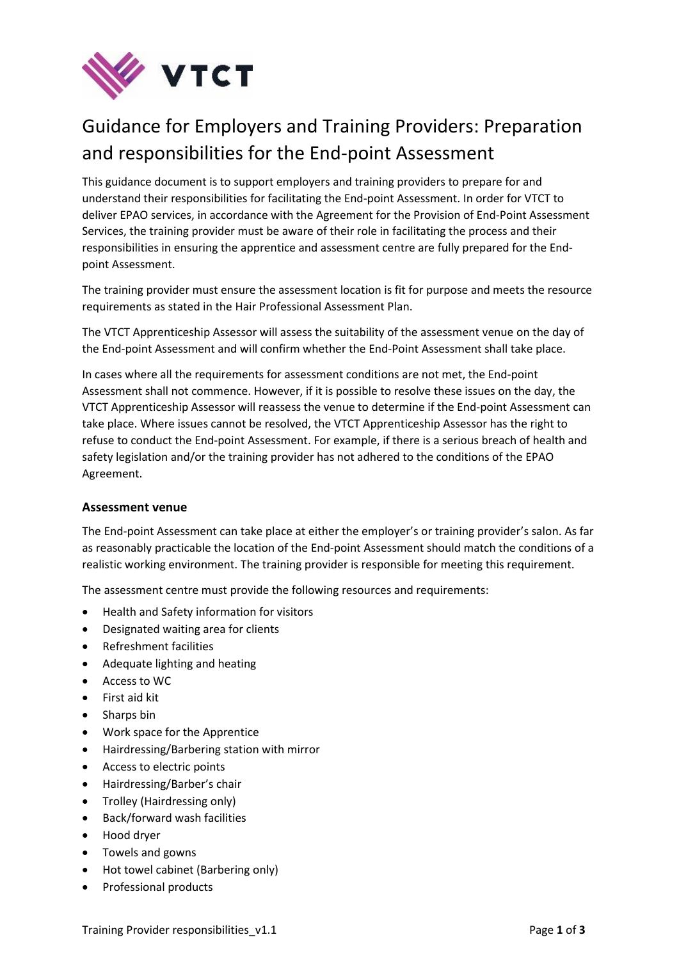

# Guidance for Employers and Training Providers: Preparation and responsibilities for the End-point Assessment

This guidance document is to support employers and training providers to prepare for and understand their responsibilities for facilitating the End-point Assessment. In order for VTCT to deliver EPAO services, in accordance with the Agreement for the Provision of End-Point Assessment Services, the training provider must be aware of their role in facilitating the process and their responsibilities in ensuring the apprentice and assessment centre are fully prepared for the Endpoint Assessment.

The training provider must ensure the assessment location is fit for purpose and meets the resource requirements as stated in the Hair Professional Assessment Plan.

The VTCT Apprenticeship Assessor will assess the suitability of the assessment venue on the day of the End-point Assessment and will confirm whether the End-Point Assessment shall take place.

In cases where all the requirements for assessment conditions are not met, the End-point Assessment shall not commence. However, if it is possible to resolve these issues on the day, the VTCT Apprenticeship Assessor will reassess the venue to determine if the End-point Assessment can take place. Where issues cannot be resolved, the VTCT Apprenticeship Assessor has the right to refuse to conduct the End-point Assessment. For example, if there is a serious breach of health and safety legislation and/or the training provider has not adhered to the conditions of the EPAO Agreement.

# **Assessment venue**

The End-point Assessment can take place at either the employer's or training provider's salon. As far as reasonably practicable the location of the End-point Assessment should match the conditions of a realistic working environment. The training provider is responsible for meeting this requirement.

The assessment centre must provide the following resources and requirements:

- Health and Safety information for visitors
- Designated waiting area for clients
- Refreshment facilities
- Adequate lighting and heating
- Access to WC
- First aid kit
- Sharps bin
- Work space for the Apprentice
- Hairdressing/Barbering station with mirror
- Access to electric points
- Hairdressing/Barber's chair
- Trolley (Hairdressing only)
- Back/forward wash facilities
- Hood dryer
- Towels and gowns
- Hot towel cabinet (Barbering only)
- Professional products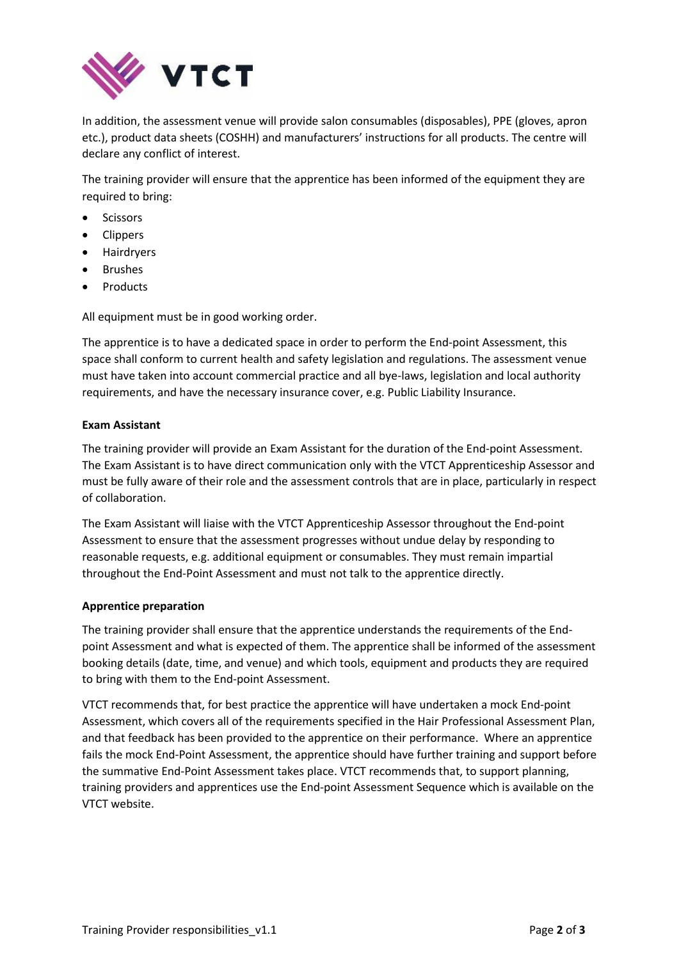

In addition, the assessment venue will provide salon consumables (disposables), PPE (gloves, apron etc.), product data sheets (COSHH) and manufacturers' instructions for all products. The centre will declare any conflict of interest.

The training provider will ensure that the apprentice has been informed of the equipment they are required to bring:

- **•** Scissors
- Clippers
- Hairdryers
- Brushes
- Products

All equipment must be in good working order.

The apprentice is to have a dedicated space in order to perform the End-point Assessment, this space shall conform to current health and safety legislation and regulations. The assessment venue must have taken into account commercial practice and all bye-laws, legislation and local authority requirements, and have the necessary insurance cover, e.g. Public Liability Insurance.

# **Exam Assistant**

The training provider will provide an Exam Assistant for the duration of the End-point Assessment. The Exam Assistant is to have direct communication only with the VTCT Apprenticeship Assessor and must be fully aware of their role and the assessment controls that are in place, particularly in respect of collaboration.

The Exam Assistant will liaise with the VTCT Apprenticeship Assessor throughout the End-point Assessment to ensure that the assessment progresses without undue delay by responding to reasonable requests, e.g. additional equipment or consumables. They must remain impartial throughout the End-Point Assessment and must not talk to the apprentice directly.

# **Apprentice preparation**

The training provider shall ensure that the apprentice understands the requirements of the Endpoint Assessment and what is expected of them. The apprentice shall be informed of the assessment booking details (date, time, and venue) and which tools, equipment and products they are required to bring with them to the End-point Assessment.

VTCT recommends that, for best practice the apprentice will have undertaken a mock End-point Assessment, which covers all of the requirements specified in the Hair Professional Assessment Plan, and that feedback has been provided to the apprentice on their performance. Where an apprentice fails the mock End-Point Assessment, the apprentice should have further training and support before the summative End-Point Assessment takes place. VTCT recommends that, to support planning, training providers and apprentices use the End-point Assessment Sequence which is available on the VTCT website.